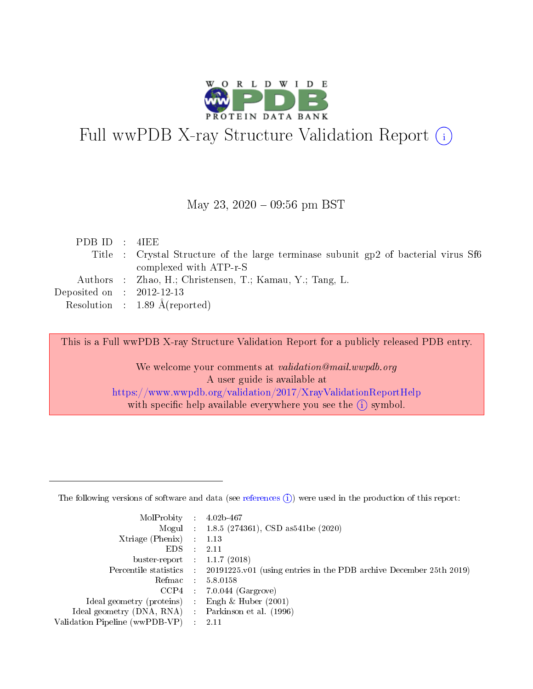

# Full wwPDB X-ray Structure Validation Report (i)

#### May 23,  $2020 - 09:56$  pm BST

| PDBID : 4IEE                |                                                                                     |
|-----------------------------|-------------------------------------------------------------------------------------|
|                             | Title : Crystal Structure of the large terminase subunit gp2 of bacterial virus Sf6 |
|                             | complexed with ATP-r-S                                                              |
|                             | Authors : Zhao, H.; Christensen, T.; Kamau, Y.; Tang, L.                            |
| Deposited on : $2012-12-13$ |                                                                                     |
|                             | Resolution : 1.89 $\AA$ (reported)                                                  |
|                             |                                                                                     |

This is a Full wwPDB X-ray Structure Validation Report for a publicly released PDB entry.

We welcome your comments at validation@mail.wwpdb.org A user guide is available at <https://www.wwpdb.org/validation/2017/XrayValidationReportHelp> with specific help available everywhere you see the  $(i)$  symbol.

The following versions of software and data (see [references](https://www.wwpdb.org/validation/2017/XrayValidationReportHelp#references)  $(1)$ ) were used in the production of this report:

| MolProbity                     | $\mathcal{L}_{\rm{max}}$ | $4.02b - 467$                                                                |
|--------------------------------|--------------------------|------------------------------------------------------------------------------|
|                                |                          | Mogul : $1.8.5$ (274361), CSD as 541be (2020)                                |
| $X$ triage (Phenix) :          |                          | 1.13                                                                         |
| EDS.                           |                          | 2.11                                                                         |
| buster-report : $1.1.7$ (2018) |                          |                                                                              |
| Percentile statistics :        |                          | $20191225 \text{ v}01$ (using entries in the PDB archive December 25th 2019) |
| Refmac                         |                          | 5.8.0158                                                                     |
| $CCP4$ :                       |                          | $7.0.044$ (Gargrove)                                                         |
| Ideal geometry (proteins) :    |                          | Engh $\&$ Huber (2001)                                                       |
| Ideal geometry (DNA, RNA) :    |                          | Parkinson et al. (1996)                                                      |
| Validation Pipeline (wwPDB-VP) | $\mathcal{L}$            | -2.11                                                                        |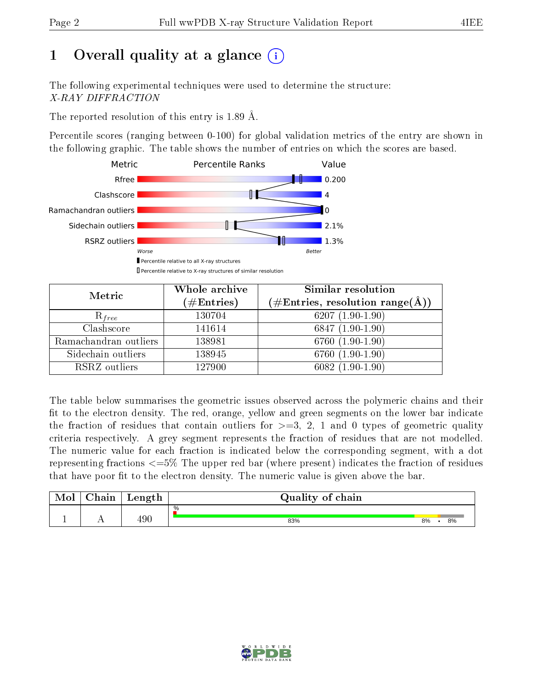# 1 [O](https://www.wwpdb.org/validation/2017/XrayValidationReportHelp#overall_quality)verall quality at a glance  $(i)$

The following experimental techniques were used to determine the structure: X-RAY DIFFRACTION

The reported resolution of this entry is 1.89 Å.

Percentile scores (ranging between 0-100) for global validation metrics of the entry are shown in the following graphic. The table shows the number of entries on which the scores are based.



| Metric                | Whole archive<br>$(\#\text{Entries})$ | <b>Similar resolution</b><br>$(\#\text{Entries}, \, \text{resolution range}(\textup{\AA}))$ |
|-----------------------|---------------------------------------|---------------------------------------------------------------------------------------------|
| $R_{free}$            | 130704                                | $6207(1.90-1.90)$                                                                           |
| Clashscore            | 141614                                | $6847(1.90-1.90)$                                                                           |
| Ramachandran outliers | 138981                                | 6760 (1.90-1.90)                                                                            |
| Sidechain outliers    | 138945                                | 6760 (1.90-1.90)                                                                            |
| RSRZ outliers         | 127900                                | $6082(1.90-1.90)$                                                                           |

The table below summarises the geometric issues observed across the polymeric chains and their fit to the electron density. The red, orange, yellow and green segments on the lower bar indicate the fraction of residues that contain outliers for  $>=3, 2, 1$  and 0 types of geometric quality criteria respectively. A grey segment represents the fraction of residues that are not modelled. The numeric value for each fraction is indicated below the corresponding segment, with a dot representing fractions  $\epsilon=5\%$  The upper red bar (where present) indicates the fraction of residues that have poor fit to the electron density. The numeric value is given above the bar.

| Mol | $\cap$ hain | Length | Quality of chain |    |    |
|-----|-------------|--------|------------------|----|----|
|     |             |        | %                |    |    |
|     |             | 490    | 83%              | 8% | 8% |

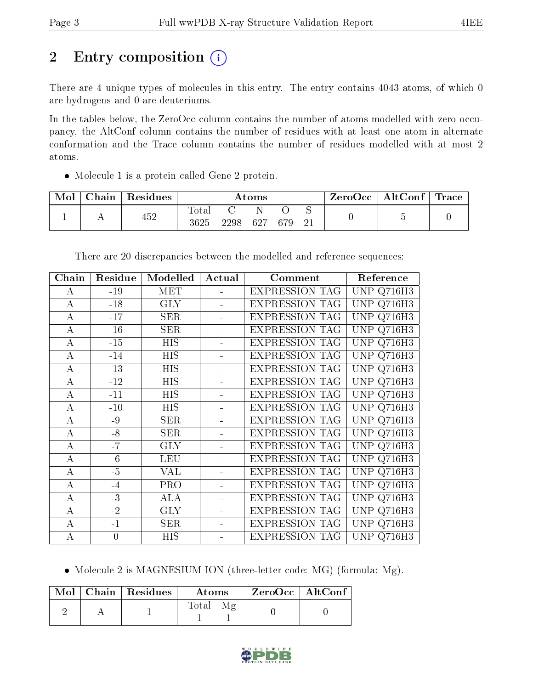# 2 Entry composition (i)

There are 4 unique types of molecules in this entry. The entry contains 4043 atoms, of which 0 are hydrogens and 0 are deuteriums.

In the tables below, the ZeroOcc column contains the number of atoms modelled with zero occupancy, the AltConf column contains the number of residues with at least one atom in alternate conformation and the Trace column contains the number of residues modelled with at most 2 atoms.

Molecule 1 is a protein called Gene 2 protein.

| Mol | Chain | Residues | $\rm{Atoms}$        |      |     |     |  | $\text{ZeroOcc}$   AltConf   Trace |  |
|-----|-------|----------|---------------------|------|-----|-----|--|------------------------------------|--|
|     |       | 452      | $\rm Total$<br>3625 | 2298 | 627 | 679 |  |                                    |  |

| Chain            | Residue        | Modelled   | Actual | Comment               | Reference         |
|------------------|----------------|------------|--------|-----------------------|-------------------|
| А                | $-19$          | <b>MET</b> |        | <b>EXPRESSION TAG</b> | UNP Q716H3        |
| A                | $-18$          | <b>GLY</b> |        | <b>EXPRESSION TAG</b> | <b>UNP Q716H3</b> |
| A                | $-17$          | <b>SER</b> |        | <b>EXPRESSION TAG</b> | <b>UNP Q716H3</b> |
| $\bf{A}$         | $-16$          | <b>SER</b> |        | <b>EXPRESSION TAG</b> | UNP Q716H3        |
| A                | $-15$          | <b>HIS</b> |        | <b>EXPRESSION TAG</b> | <b>UNP Q716H3</b> |
| A                | $-14$          | <b>HIS</b> |        | <b>EXPRESSION TAG</b> | UNP Q716H3        |
| А                | $-13$          | HIS        |        | <b>EXPRESSION TAG</b> | <b>UNP Q716H3</b> |
| A                | $-12$          | <b>HIS</b> |        | <b>EXPRESSION TAG</b> | <b>UNP Q716H3</b> |
| A                | $-11$          | <b>HIS</b> |        | <b>EXPRESSION TAG</b> | <b>UNP Q716H3</b> |
| A                | $-10$          | <b>HIS</b> |        | <b>EXPRESSION TAG</b> | <b>UNP Q716H3</b> |
| А                | $-9$           | <b>SER</b> |        | <b>EXPRESSION TAG</b> | UNP Q716H3        |
| A                | $-8$           | <b>SER</b> |        | <b>EXPRESSION TAG</b> | UNP Q716H3        |
| $\bf{A}$         | $-7$           | <b>GLY</b> |        | <b>EXPRESSION TAG</b> | <b>UNP Q716H3</b> |
| A                | $-6$           | <b>LEU</b> |        | <b>EXPRESSION TAG</b> | <b>UNP Q716H3</b> |
| А                | $-5$           | VAL        |        | <b>EXPRESSION TAG</b> | <b>UNP Q716H3</b> |
| А                | $-4$           | <b>PRO</b> |        | <b>EXPRESSION TAG</b> | UNP Q716H3        |
| А                | $-3$           | ALA        |        | <b>EXPRESSION TAG</b> | UNP Q716H3        |
| А                | $-2$           | <b>GLY</b> |        | <b>EXPRESSION TAG</b> | UNP<br>Q716H3     |
| A                | $-1$           | <b>SER</b> |        | <b>EXPRESSION TAG</b> | <b>UNP Q716H3</b> |
| $\boldsymbol{A}$ | $\overline{0}$ | <b>HIS</b> |        | <b>EXPRESSION TAG</b> | UNP Q716H3        |

There are 20 discrepancies between the modelled and reference sequences:

• Molecule 2 is MAGNESIUM ION (three-letter code: MG) (formula: Mg).

|  | Mol   Chain   Residues | Atoms | $ZeroOcc \   \ Alt\overline{Conf}$ |
|--|------------------------|-------|------------------------------------|
|  |                        | Total |                                    |

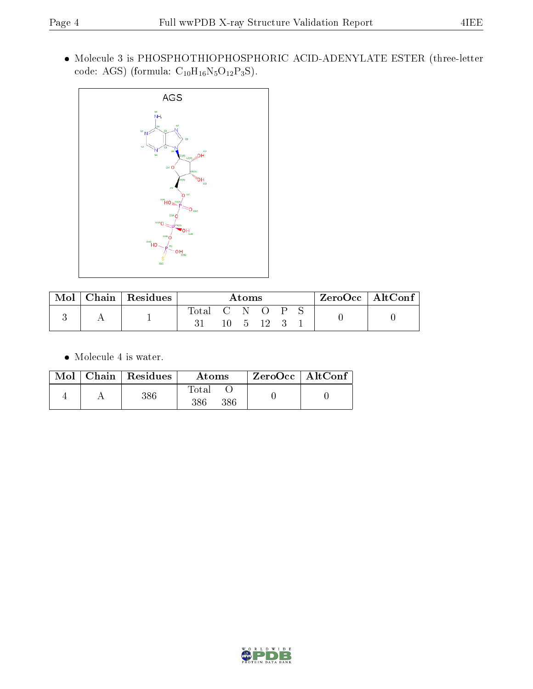Molecule 3 is PHOSPHOTHIOPHOSPHORIC ACID-ADENYLATE ESTER (three-letter code: AGS) (formula:  $\mathrm{C}_{10}\mathrm{H}_{16}\mathrm{N}_{5}\mathrm{O}_{12}\mathrm{P}_{3}\mathrm{S})$  .



| Mol | $\mid$ Chain $\mid$ Residues | Atoms |       |              |    |              | $ZeroOcc$   AltConf |  |  |
|-----|------------------------------|-------|-------|--------------|----|--------------|---------------------|--|--|
|     |                              | Total | ('N O | $10 \quad 5$ | 12 | $\mathsf{P}$ |                     |  |  |

 $\bullet\,$  Molecule 4 is water.

|  | Mol   Chain   Residues | Atoms               | ZeroOcc   AltConf |  |
|--|------------------------|---------------------|-------------------|--|
|  | 386                    | Fotal<br>386<br>386 |                   |  |

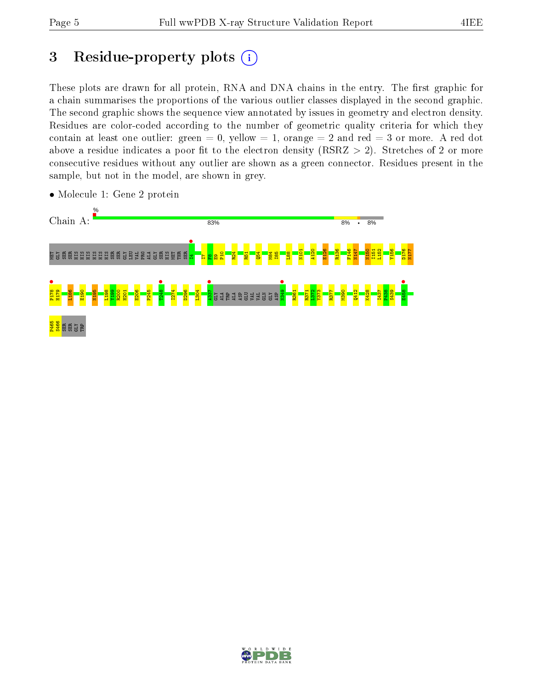# 3 Residue-property plots  $(i)$

These plots are drawn for all protein, RNA and DNA chains in the entry. The first graphic for a chain summarises the proportions of the various outlier classes displayed in the second graphic. The second graphic shows the sequence view annotated by issues in geometry and electron density. Residues are color-coded according to the number of geometric quality criteria for which they contain at least one outlier: green  $= 0$ , yellow  $= 1$ , orange  $= 2$  and red  $= 3$  or more. A red dot above a residue indicates a poor fit to the electron density (RSRZ  $> 2$ ). Stretches of 2 or more consecutive residues without any outlier are shown as a green connector. Residues present in the sample, but not in the model, are shown in grey.



• Molecule 1: Gene 2 protein

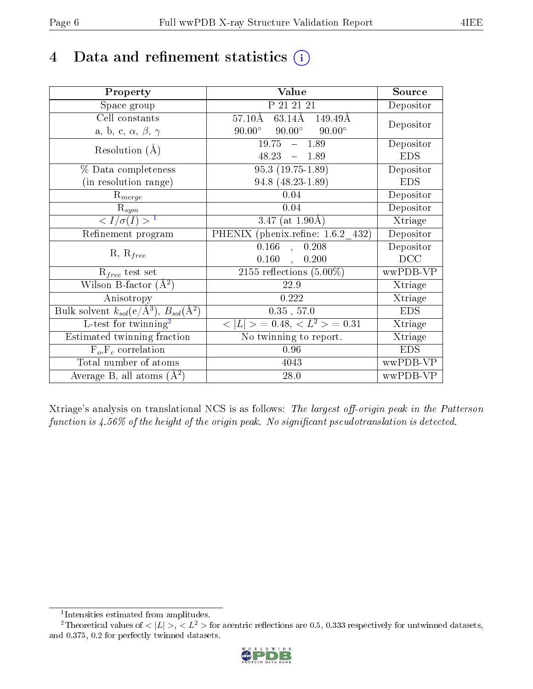# 4 Data and refinement statistics  $(i)$

| Property                                                             | Value                                                    | Source     |
|----------------------------------------------------------------------|----------------------------------------------------------|------------|
| Space group                                                          | P 21 21 21                                               | Depositor  |
| Cell constants                                                       | $63.14\text{\AA}$<br>$57.10\text{\AA}$<br>149.49Å        | Depositor  |
| a, b, c, $\alpha$ , $\beta$ , $\gamma$                               | $90.00^\circ$<br>$90.00^\circ$<br>$90.00^\circ$          |            |
| Resolution $(A)$                                                     | 19.75<br>$-1.89$                                         | Depositor  |
|                                                                      | 48.23<br>$-1.89$                                         | <b>EDS</b> |
| % Data completeness                                                  | $95.3(19.75-1.89)$                                       | Depositor  |
| (in resolution range)                                                | 94.8 (48.23-1.89)                                        | <b>EDS</b> |
| $R_{merge}$                                                          | 0.04                                                     | Depositor  |
| $\mathrm{R}_{sym}$                                                   | 0.04                                                     | Depositor  |
| $\langle I/\sigma(I) \rangle^{-1}$                                   | 3.47 (at $1.90\text{\AA}$ )                              | Xtriage    |
| Refinement program                                                   | PHENIX (phenix.refine: 1.6.2 432)                        | Depositor  |
|                                                                      | 0.166<br>0.208<br>$\bar{\phantom{a}},$                   | Depositor  |
| $R, R_{free}$                                                        | $0.160$ ,<br>0.200                                       | DCC        |
| $R_{free}$ test set                                                  | 2155 reflections $(5.00\%)$                              | wwPDB-VP   |
| Wilson B-factor $(A^2)$                                              | 22.9                                                     | Xtriage    |
| Anisotropy                                                           | $0.222\,$                                                | Xtriage    |
| Bulk solvent $k_{sol}(e/\mathring{A}^3)$ , $B_{sol}(\mathring{A}^2)$ | $0.35$ , $57.0$                                          | <b>EDS</b> |
| $L$ -test for twinning <sup>2</sup>                                  | $\langle  L  \rangle = 0.48, \langle L^2 \rangle = 0.31$ | Xtriage    |
| Estimated twinning fraction                                          | No twinning to report.                                   | Xtriage    |
| $\overline{F_o,F_c}$ correlation                                     | 0.96                                                     | <b>EDS</b> |
| Total number of atoms                                                | 4043                                                     | wwPDB-VP   |
| Average B, all atoms $(A^2)$                                         | 28.0                                                     | wwPDB-VP   |

Xtriage's analysis on translational NCS is as follows: The largest off-origin peak in the Patterson function is  $4.56\%$  of the height of the origin peak. No significant pseudotranslation is detected.

<sup>&</sup>lt;sup>2</sup>Theoretical values of  $\langle |L| \rangle$ ,  $\langle L^2 \rangle$  for acentric reflections are 0.5, 0.333 respectively for untwinned datasets, and 0.375, 0.2 for perfectly twinned datasets.



<span id="page-5-1"></span><span id="page-5-0"></span><sup>1</sup> Intensities estimated from amplitudes.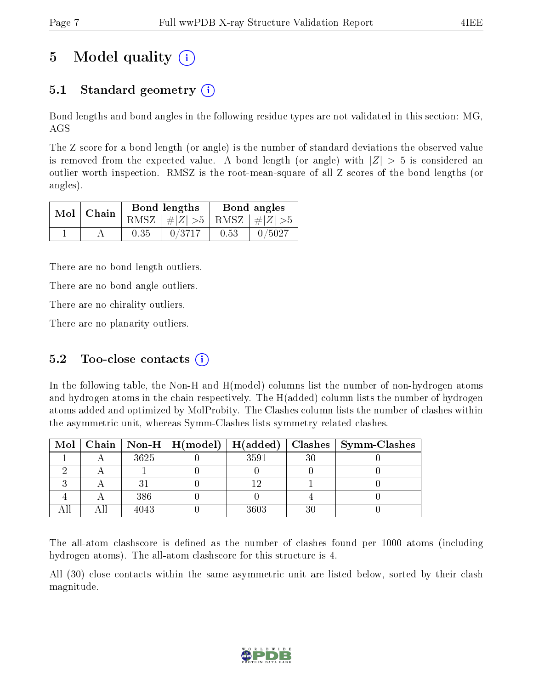# 5 Model quality  $(i)$

## 5.1 Standard geometry  $(i)$

Bond lengths and bond angles in the following residue types are not validated in this section: MG, AGS

The Z score for a bond length (or angle) is the number of standard deviations the observed value is removed from the expected value. A bond length (or angle) with  $|Z| > 5$  is considered an outlier worth inspection. RMSZ is the root-mean-square of all Z scores of the bond lengths (or angles).

| $Mol$   Chain |      | Bond lengths                    | Bond angles |        |  |
|---------------|------|---------------------------------|-------------|--------|--|
|               |      | RMSZ $ #Z  > 5$ RMSZ $ #Z  > 5$ |             |        |  |
|               | 0.35 | 0/3717                          | 0.53        | 0/5027 |  |

There are no bond length outliers.

There are no bond angle outliers.

There are no chirality outliers.

There are no planarity outliers.

### 5.2 Too-close contacts  $(i)$

In the following table, the Non-H and H(model) columns list the number of non-hydrogen atoms and hydrogen atoms in the chain respectively. The H(added) column lists the number of hydrogen atoms added and optimized by MolProbity. The Clashes column lists the number of clashes within the asymmetric unit, whereas Symm-Clashes lists symmetry related clashes.

|  |      |      |    | Mol   Chain   Non-H   H(model)   H(added)   Clashes   Symm-Clashes |
|--|------|------|----|--------------------------------------------------------------------|
|  | 3625 | 3591 | 30 |                                                                    |
|  |      |      |    |                                                                    |
|  |      |      |    |                                                                    |
|  | 386  |      |    |                                                                    |
|  | 4043 | 3603 | 30 |                                                                    |

The all-atom clashscore is defined as the number of clashes found per 1000 atoms (including hydrogen atoms). The all-atom clashscore for this structure is 4.

All (30) close contacts within the same asymmetric unit are listed below, sorted by their clash magnitude.

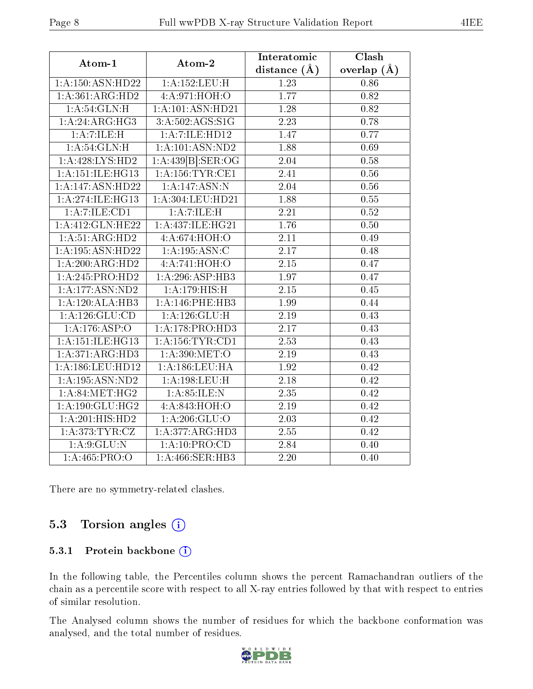| Atom-1               | Atom-2              | Interatomic       | Clash           |  |
|----------------------|---------------------|-------------------|-----------------|--|
|                      |                     | distance $(A)$    | overlap $(\AA)$ |  |
| 1:A:150:ASN:HD22     | 1:A:152:LEU:H       | 1.23              | 0.86            |  |
| $1:$ A:361:ARG:HD2   | 4:A:971:HOH:O       | 1.77              | 0.82            |  |
| 1: A:54:GLN:H        | 1:A:101:ASN:HD21    | 1.28              | 0.82            |  |
| 1:A:24:ARG:HG3       | 3:A:502:AGS:SIG     | $\overline{2.23}$ | 0.78            |  |
| 1: A: 7: ILE:H       | 1:A:7:ILE:HD12      | 1.47              | 0.77            |  |
| 1: A:54:GLN:H        | 1:A:101:ASN:ND2     | 1.88              | 0.69            |  |
| 1: A:428: LYS: HD2   | 1:A:439[B]:SER:OG   | 2.04              | 0.58            |  |
| 1:A:151:ILE:HG13     | 1: A: 156: TYR: CE1 | $\overline{2.41}$ | 0.56            |  |
| 1:A:147:ASN:HD22     | 1:A:147:ASN:N       | 2.04              | 0.56            |  |
| 1:A:274:ILE:HG13     | 1:A:304:LEU:HD21    | 1.88              | 0.55            |  |
| 1:A:7:ILE:CD1        | 1: A: 7: ILE:H      | 2.21              | 0.52            |  |
| 1:A:412:GLN:HE22     | 1:A:437:ILE:HG21    | 1.76              | $0.50\,$        |  |
| 1:A:51:ARG:HD2       | 4:A:674:HOH:O       | 2.11              | 0.49            |  |
| 1:A:195:ASN:HD22     | 1:A:195:ASN:C       | 2.17              | 0.48            |  |
| 1:A:200:ARG:HD2      | 4:A:741:HOH:O       | $\overline{2.15}$ | 0.47            |  |
| 1:A:245:PRO:HD2      | 1:A:296:ASP:HB3     | 1.97              | 0.47            |  |
| 1:A:177:ASN:ND2      | 1:A:179:HIS:H       | 2.15              | 0.45            |  |
| 1:A:120:ALA:HB3      | 1:A:146:PHE:HB3     | 1.99              | 0.44            |  |
| 1:A:126:GLU:CD       | 1: A: 126: GLU: H   | 2.19              | 0.43            |  |
| 1:A:176:ASP:O        | 1: A:178: PRO:HD3   | 2.17              | 0.43            |  |
| 1: A: 151: ILE: HG13 | 1: A: 156: TYR: CD1 | 2.53              | 0.43            |  |
| 1:A:371:ARG:HD3      | 1:A:390:MET:O       | 2.19              | 0.43            |  |
| 1:A:186:LEU:HD12     | 1: A: 186: LEU: HA  | 1.92              | 0.42            |  |
| 1:A:195:ASN:ND2      | 1:A:198:LEU:H       | 2.18              | 0.42            |  |
| 1: A:84: MET:HG2     | 1: A:85:ILE:N       | 2.35              | 0.42            |  |
| 1: A: 190: GLU: HG2  | 4:A:843:HOH:O       | $2.19\,$          | 0.42            |  |
| 1:A:201:HIS:HD2      | 1: A:206: GLU:O     | $\overline{2.03}$ | 0.42            |  |
| 1: A:373: TYR: CZ    | 1:A:377:ARG:HD3     | 2.55              | 0.42            |  |
| 1: A:9: GLU:N        | 1: A:10: PRO:CD     | 2.84              | 0.40            |  |
| 1:A:465:PRO:O        | 1:A:466:SER:HB3     | 2.20              | 0.40            |  |

There are no symmetry-related clashes.

### 5.3 Torsion angles (i)

#### 5.3.1 Protein backbone (i)

In the following table, the Percentiles column shows the percent Ramachandran outliers of the chain as a percentile score with respect to all X-ray entries followed by that with respect to entries of similar resolution.

The Analysed column shows the number of residues for which the backbone conformation was analysed, and the total number of residues.

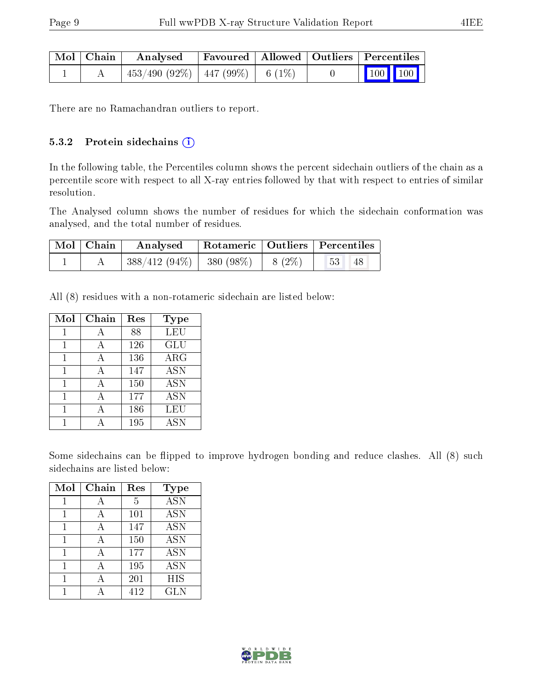| Mol   Chain | Analysed                                |  | Favoured   Allowed   Outliers   Percentiles                                  |
|-------------|-----------------------------------------|--|------------------------------------------------------------------------------|
|             | $453/490$ (92\%)   447 (99\%)   6 (1\%) |  | $\begin{array}{ c c c c c c }\n\hline\n & 100 & 100 & \\\hline\n\end{array}$ |

There are no Ramachandran outliers to report.

#### 5.3.2 Protein sidechains (i)

In the following table, the Percentiles column shows the percent sidechain outliers of the chain as a percentile score with respect to all X-ray entries followed by that with respect to entries of similar resolution.

The Analysed column shows the number of residues for which the sidechain conformation was analysed, and the total number of residues.

| Mol   Chain | Analysed   Rotameric   Outliers   Percentiles |  |                                                         |  |
|-------------|-----------------------------------------------|--|---------------------------------------------------------|--|
|             | $ 388/412(94\%) 380(98\%) 8(2\%)$             |  | $\begin{array}{ c c c c c } \hline 53 & 48 \end{array}$ |  |

All (8) residues with a non-rotameric sidechain are listed below:

| Mol | Chain | Res | Type                               |
|-----|-------|-----|------------------------------------|
|     |       | 88  | <b>LEU</b>                         |
|     | А     | 126 | <b>GLU</b>                         |
|     |       | 136 | ARG                                |
| 1   | А     | 147 | <b>ASN</b>                         |
| 1   | А     | 150 | <b>ASN</b>                         |
|     |       | 177 | <b>ASN</b>                         |
|     |       | 186 | LEU                                |
|     |       | 195 | $\overline{\mathrm{A}}\mathrm{SN}$ |

Some sidechains can be flipped to improve hydrogen bonding and reduce clashes. All (8) such sidechains are listed below:

| Mol | $Chain$ | Res | <b>Type</b>       |
|-----|---------|-----|-------------------|
| 1   | А       | 5   | $\overline{A}$ SN |
| 1   | А       | 101 | $\overline{A}$ SN |
| 1   | А       | 147 | <b>ASN</b>        |
| 1   | А       | 150 | <b>ASN</b>        |
| 1   | А       | 177 | <b>ASN</b>        |
| 1   | А       | 195 | <b>ASN</b>        |
|     |         | 201 | <b>HIS</b>        |
|     |         | 412 | GLN               |

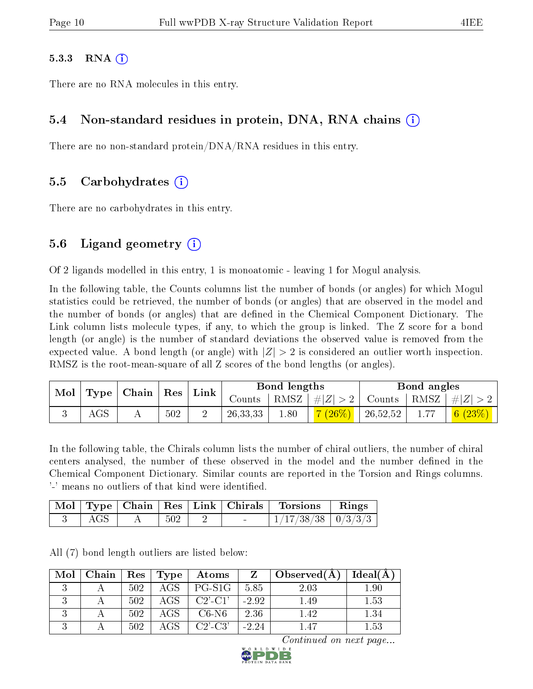#### $5.3.3$  RNA  $(i)$

There are no RNA molecules in this entry.

### 5.4 Non-standard residues in protein, DNA, RNA chains (i)

There are no non-standard protein/DNA/RNA residues in this entry.

#### 5.5 Carbohydrates (i)

There are no carbohydrates in this entry.

### 5.6 Ligand geometry  $(i)$

Of 2 ligands modelled in this entry, 1 is monoatomic - leaving 1 for Mogul analysis.

In the following table, the Counts columns list the number of bonds (or angles) for which Mogul statistics could be retrieved, the number of bonds (or angles) that are observed in the model and the number of bonds (or angles) that are defined in the Chemical Component Dictionary. The Link column lists molecule types, if any, to which the group is linked. The Z score for a bond length (or angle) is the number of standard deviations the observed value is removed from the expected value. A bond length (or angle) with  $|Z| > 2$  is considered an outlier worth inspection. RMSZ is the root-mean-square of all Z scores of the bond lengths (or angles).

|  | Mol | Type | $ $ Chain $ $ Res |  |            |      |                    | Link     |      | Bond lengths                                 |  |  | Bond angles |  |
|--|-----|------|-------------------|--|------------|------|--------------------|----------|------|----------------------------------------------|--|--|-------------|--|
|  |     |      |                   |  | Counts     |      | RMSZ   $\# Z  > 2$ |          |      | $\perp$ Counts $\mid$ RMSZ $\mid \#  Z  > 2$ |  |  |             |  |
|  | AGS |      | 502               |  | 26, 33, 33 | 1.80 | $(26\%)$           | 26,52,52 | 1.77 | $\mid 6 \ (23\%) \mid \mid$                  |  |  |             |  |

In the following table, the Chirals column lists the number of chiral outliers, the number of chiral centers analysed, the number of these observed in the model and the number defined in the Chemical Component Dictionary. Similar counts are reported in the Torsion and Rings columns. '-' means no outliers of that kind were identified.

|  |     |                | Mol   Type   Chain   Res   Link   Chirals   Torsions | $\parallel$ Rings |
|--|-----|----------------|------------------------------------------------------|-------------------|
|  | 502 | <b>Service</b> | $1/17/38/38$   $0/3/3/3$                             |                   |

All (7) bond length outliers are listed below:

| Mol | Chain |     | $\operatorname{Res}$   $\operatorname{Type}$ | Atoms      | Z       | Observed(A) | Ideal(A) |
|-----|-------|-----|----------------------------------------------|------------|---------|-------------|----------|
|     |       | 502 | $\rm{AGS}$ .                                 | PG-S1G     | 5.85    | 2.03        | 1.90     |
|     |       | 502 | $\rm{AGS}$ .                                 | $C2$ '-C1' | $-2.92$ | 1.49        | 1.53     |
|     |       | 502 | $\rm{AGS}$                                   | $C6-N6$    | 2.36    | 1.42        | 1.34     |
|     |       | 502 | $\rm{AGS}$                                   | $C2'$ -C3' | $-2.24$ | 1.47        | 1.53     |

Continued on next page...

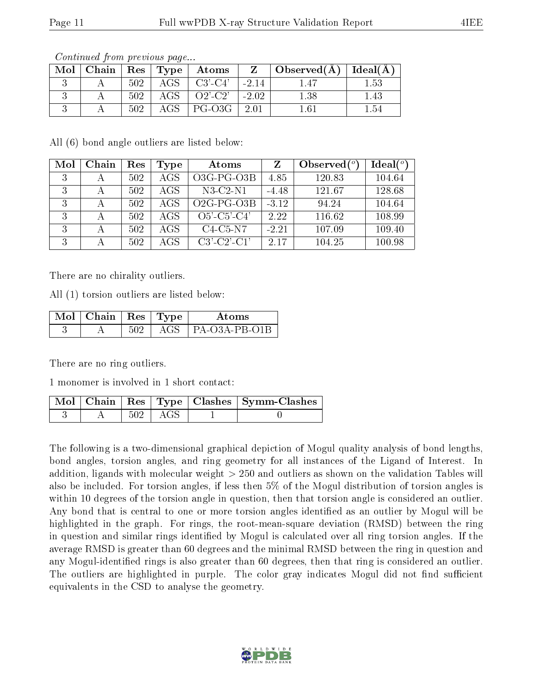| Mol |     |              | Chain   Res   Type   Atoms | $Z \parallel$ | $\vert$ Observed( $\AA$ ) $\vert$ Ideal( $\AA$ ) |      |
|-----|-----|--------------|----------------------------|---------------|--------------------------------------------------|------|
|     | 502 | $-AGS$       | $C3'$ - $C4'$              | $-2.14$       |                                                  | 1.53 |
|     | 502 | AGS          | $Q2$ - $C2$ '   -2.02      |               | $1.38\,$                                         | 1.43 |
|     | 502 | $\rm{AGS}^-$ | PG-03G                     | $-2.01$       |                                                  | 1.54 |

Continued from previous page...

All (6) bond angle outliers are listed below:

| Mol | Chain        | Res | Type | Atoms                 |         | Observed $(°)$ | Ideal(°) |
|-----|--------------|-----|------|-----------------------|---------|----------------|----------|
| 3   |              | 502 | AGS  | $O3G-PG-O3B$          | 4.85    | 120.83         | 104.64   |
| 3   | А            | 502 | AGS  | $N3-C2-N1$            | $-4.48$ | 121.67         | 128.68   |
| 3   | $\mathsf{A}$ | 502 | AGS  | $O2G-PG-O3B$          | $-3.12$ | 94.24          | 104.64   |
| 3   |              | 502 | AGS  | $O5'$ -C5'-C4'        | 2.22    | 116.62         | 108.99   |
| 3   | А            | 502 | AGS  | $C4-C5-N7$            | $-2.21$ | 107.09         | 109.40   |
| 3   |              | 502 | AGS  | $C3'$ - $C2'$ - $C1'$ | 2.17    | 104.25         | 100.98   |

There are no chirality outliers.

All (1) torsion outliers are listed below:

| Mol | $\top$ Chain   Res   Type |      | Atoms                        |
|-----|---------------------------|------|------------------------------|
|     |                           | A GS | $\overline{P}$ PA-O3A-PB-O1B |

There are no ring outliers.

1 monomer is involved in 1 short contact:

|  |             | Mol   Chain   Res   Type   Clashes   Symm-Clashes |
|--|-------------|---------------------------------------------------|
|  | $502$   AGS |                                                   |

The following is a two-dimensional graphical depiction of Mogul quality analysis of bond lengths, bond angles, torsion angles, and ring geometry for all instances of the Ligand of Interest. In addition, ligands with molecular weight > 250 and outliers as shown on the validation Tables will also be included. For torsion angles, if less then 5% of the Mogul distribution of torsion angles is within 10 degrees of the torsion angle in question, then that torsion angle is considered an outlier. Any bond that is central to one or more torsion angles identified as an outlier by Mogul will be highlighted in the graph. For rings, the root-mean-square deviation (RMSD) between the ring in question and similar rings identified by Mogul is calculated over all ring torsion angles. If the average RMSD is greater than 60 degrees and the minimal RMSD between the ring in question and any Mogul-identified rings is also greater than 60 degrees, then that ring is considered an outlier. The outliers are highlighted in purple. The color gray indicates Mogul did not find sufficient equivalents in the CSD to analyse the geometry.

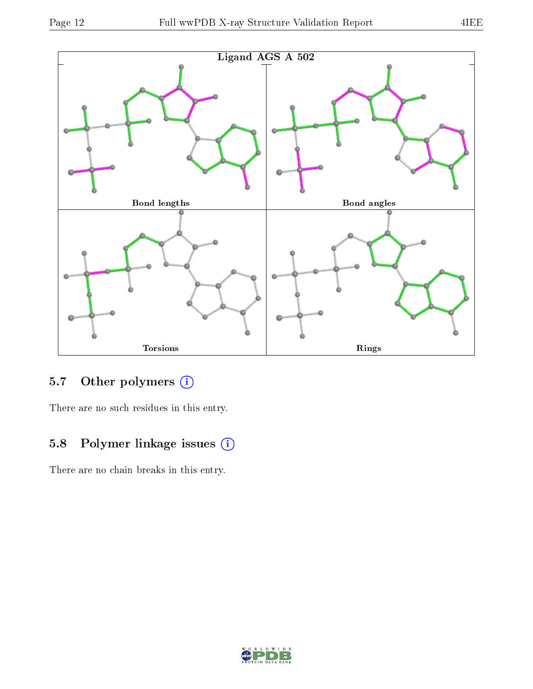



## 5.7 [O](https://www.wwpdb.org/validation/2017/XrayValidationReportHelp#nonstandard_residues_and_ligands)ther polymers (i)

There are no such residues in this entry.

### 5.8 Polymer linkage issues (i)

There are no chain breaks in this entry.

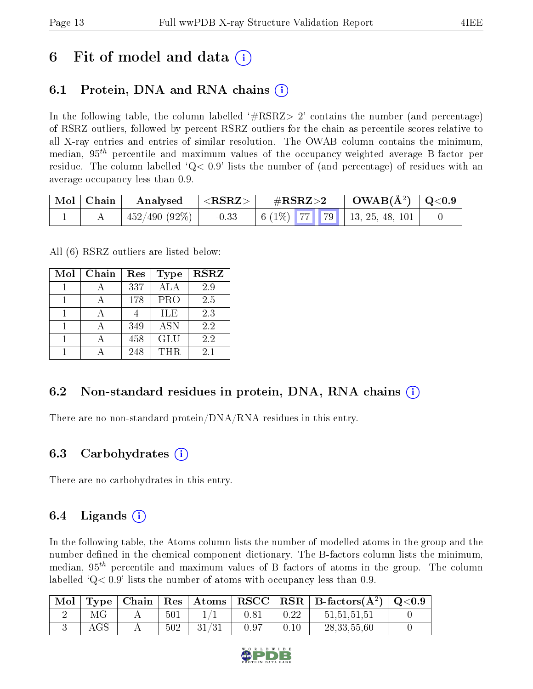# 6 Fit of model and data  $\left( \cdot \right)$

## 6.1 Protein, DNA and RNA chains (i)

In the following table, the column labelled  $#RSRZ>2'$  contains the number (and percentage) of RSRZ outliers, followed by percent RSRZ outliers for the chain as percentile scores relative to all X-ray entries and entries of similar resolution. The OWAB column contains the minimum, median,  $95<sup>th</sup>$  percentile and maximum values of the occupancy-weighted average B-factor per residue. The column labelled  $Q < 0.9$  lists the number of (and percentage) of residues with an average occupancy less than 0.9.

| Mol   Chain | Analysed                   | $ <$ RSRZ $>$ | $\rm \#RSRZ{>}2$ |  | $\rm OWAB(\AA^2)$   Q<0.9                             |  |
|-------------|----------------------------|---------------|------------------|--|-------------------------------------------------------|--|
|             | $\pm 452/490$ (92\%) $\pm$ | $-0.33$       |                  |  | $6(1\%)$   $77$   $79$   $13, 25, 48, 101$ $^{\circ}$ |  |

All (6) RSRZ outliers are listed below:

| Mol | Chain | Res | <b>Type</b> | <b>RSRZ</b> |  |
|-----|-------|-----|-------------|-------------|--|
|     |       | 337 | <b>ALA</b>  | 2.9         |  |
|     |       | 178 | <b>PRO</b>  | 2.5         |  |
|     |       |     | ILE         | 2.3         |  |
|     |       | 349 | <b>ASN</b>  | 2.2         |  |
|     |       | 458 | <b>GLU</b>  | 2.2         |  |
|     |       | 248 | THR         | 21          |  |

### 6.2 Non-standard residues in protein, DNA, RNA chains (i)

There are no non-standard protein/DNA/RNA residues in this entry.

#### 6.3 Carbohydrates (i)

There are no carbohydrates in this entry.

### 6.4 Ligands  $(i)$

In the following table, the Atoms column lists the number of modelled atoms in the group and the number defined in the chemical component dictionary. The B-factors column lists the minimum, median,  $95<sup>th</sup>$  percentile and maximum values of B factors of atoms in the group. The column labelled  $Q< 0.9$  lists the number of atoms with occupancy less than 0.9.

| Mol |            |     |       |       |      | $\top$ Type   Chain   Res   Atoms   RSCC   RSR   B-factors $(A^2)$   Q<0.9 |  |
|-----|------------|-----|-------|-------|------|----------------------------------------------------------------------------|--|
|     |            | 501 |       | 0.8   | 0.22 | 51,51,51,51                                                                |  |
|     | $\rm{AGS}$ | 502 | 31/31 | -0.97 | 0.10 | 28, 33, 55, 60                                                             |  |